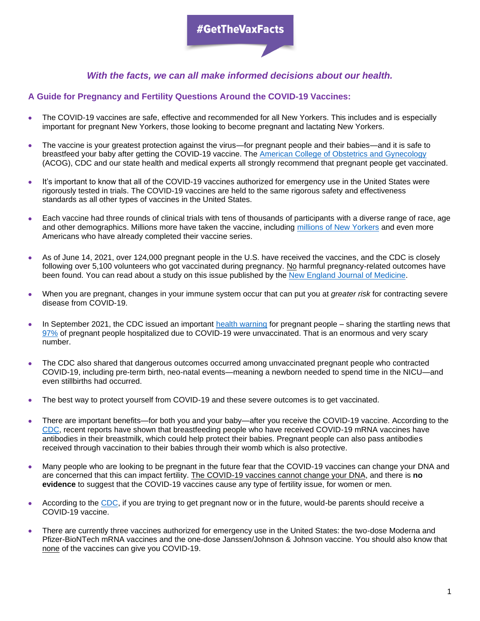### *With the facts, we can all make informed decisions about our health.*

### **A Guide for Pregnancy and Fertility Questions Around the COVID-19 Vaccines:**

- The COVID-19 vaccines are safe, effective and recommended for all New Yorkers. This includes and is especially important for pregnant New Yorkers, those looking to become pregnant and lactating New Yorkers.
- The vaccine is your greatest protection against the virus—for pregnant people and their babies—and it is safe to breastfeed your baby after getting the COVID-19 vaccine. The [American College of Obstetrics and Gynecology](https://www.acog.org/clinical/clinical-guidance/practice-advisory/articles/2020/12/covid-19-vaccination-considerations-for-obstetric-gynecologic-care) (ACOG), CDC and our state health and medical experts all strongly recommend that pregnant people get vaccinated.
- It's important to know that all of the COVID-19 vaccines authorized for emergency use in the United States were rigorously tested in trials. The COVID-19 vaccines are held to the same rigorous safety and effectiveness standards as all other types of vaccines in the United States.
- Each vaccine had three rounds of clinical trials with tens of thousands of participants with a diverse range of race, age and other demographics. Millions more have taken the vaccine, including millions of [New Yorkers](https://covid19vaccine.health.ny.gov/covid-19-vaccine-tracker) and even more Americans who have already completed their vaccine series.
- As of June 14, 2021, over 124,000 pregnant people in the U.S. have received the vaccines, and the CDC is closely following over 5,100 volunteers who got vaccinated during pregnancy. No harmful pregnancy-related outcomes have been found. You can read about a study on this issue published by the [New England Journal of Medicine.](https://www.nejm.org/doi/full/10.1056/NEJMoa2104983)
- When you are pregnant, changes in your immune system occur that can put you at *greater risk* for contracting severe disease from COVID-19.
- In September 2021, the CDC issued an important [health warning](https://emergency.cdc.gov/han/2021/han00453.asp) for pregnant people sharing the startling news that [97%](https://emergency.cdc.gov/han/2021/han00453.asp) of pregnant people hospitalized due to COVID-19 were unvaccinated. That is an enormous and very scary number.
- The CDC also shared that dangerous outcomes occurred among unvaccinated pregnant people who contracted COVID-19, including pre-term birth, neo-natal events—meaning a newborn needed to spend time in the NICU—and even stillbirths had occurred.
- The best way to protect yourself from COVID-19 and these severe outcomes is to get vaccinated.
- There are important benefits—for both you and your baby—after you receive the COVID-19 vaccine. According to the [CDC,](https://www.cdc.gov/coronavirus/2019-ncov/vaccines/recommendations/pregnancy.html) recent reports have shown that breastfeeding people who have received COVID-19 mRNA vaccines have antibodies in their breastmilk, which could help protect their babies. Pregnant people can also pass antibodies received through vaccination to their babies through their womb which is also protective.
- Many people who are looking to be pregnant in the future fear that the COVID-19 vaccines can change your DNA and are concerned that this can impact fertility. The COVID-19 vaccines cannot change your DNA, and there is **no evidence** to suggest that the COVID-19 vaccines cause any type of fertility issue, for women or men.
- According to the [CDC,](https://www.cdc.gov/coronavirus/2019-ncov/vaccines/recommendations/pregnancy.html) if you are trying to get pregnant now or in the future, would-be parents should receive a COVID-19 vaccine.
- There are currently three vaccines authorized for emergency use in the United States: the two-dose Moderna and Pfizer-BioNTech mRNA vaccines and the one-dose Janssen/Johnson & Johnson vaccine. You should also know that none of the vaccines can give you COVID-19.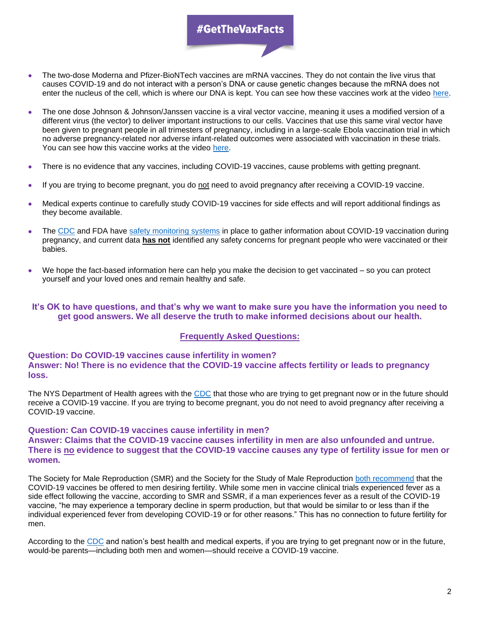## #GetTheVaxFacts

- The two-dose Moderna and Pfizer-BioNTech vaccines are mRNA vaccines. They do not contain the live virus that causes COVID-19 and do not interact with a person's DNA or cause genetic changes because the mRNA does not enter the nucleus of the cell, which is where our DNA is kept. You can see how these vaccines work at the video [here.](https://www.cdc.gov/coronavirus/2019-ncov/vaccines/different-vaccines/mrna.html)
- The one dose Johnson & Johnson/Janssen vaccine is a viral vector vaccine, meaning it uses a modified version of a different virus (the vector) to deliver important instructions to our cells. Vaccines that use this same viral vector have been given to pregnant people in all trimesters of pregnancy, including in a large-scale Ebola vaccination trial in which no adverse pregnancy-related nor adverse infant-related outcomes were associated with vaccination in these trials. You can see how this vaccine works at the video [here.](https://www.cdc.gov/coronavirus/2019-ncov/vaccines/different-vaccines/viralvector.html)
- There is no evidence that any vaccines, including COVID-19 vaccines, cause problems with getting pregnant.
- If you are trying to become pregnant, you do not need to avoid pregnancy after receiving a COVID-19 vaccine.
- Medical experts continue to carefully study COVID-19 vaccines for side effects and will report additional findings as they become available.
- The [CDC](https://www.cdc.gov/coronavirus/2019-ncov/vaccines/recommendations/pregnancy.html) and FDA have [safety monitoring systems](https://www.cdc.gov/coronavirus/2019-ncov/vaccines/safety/monitoring-pregnant-people.html) in place to gather information about COVID-19 vaccination during pregnancy, and current data **has not** identified any safety concerns for pregnant people who were vaccinated or their babies.
- We hope the fact-based information here can help you make the decision to get vaccinated so you can protect yourself and your loved ones and remain healthy and safe.

#### **It's OK to have questions, and that's why we want to make sure you have the information you need to get good answers. We all deserve the truth to make informed decisions about our health.**

#### **Frequently Asked Questions:**

#### **Question: Do COVID-19 vaccines cause infertility in women? Answer: No! There is no evidence that the COVID-19 vaccine affects fertility or leads to pregnancy loss.**

The NYS Department of Health agrees with the [CDC](https://www.cdc.gov/coronavirus/2019-ncov/vaccines/recommendations/pregnancy.html) that those who are trying to get pregnant now or in the future should receive a COVID-19 vaccine. If you are trying to become pregnant, you do not need to avoid pregnancy after receiving a COVID-19 vaccine.

#### **Question: Can COVID-19 vaccines cause infertility in men? Answer: Claims that the COVID-19 vaccine causes infertility in men are also unfounded and untrue. There is no evidence to suggest that the COVID-19 vaccine causes any type of fertility issue for men or women.**

The Society for Male Reproduction (SMR) and the Society for the Study of Male Reproduction [both recommend](https://www.asrm.org/news-and-publications/covid-19/statements/joint-statement-regarding-covid-19-vaccine-in-men-desiring-fertility-from-the-society-for-male-reproduction-and-urology-smru-and-the-society-for-the-study-of-male-reproduction-ssmr/) that the COVID-19 vaccines be offered to men desiring fertility. While some men in vaccine clinical trials experienced fever as a side effect following the vaccine, according to SMR and SSMR, if a man experiences fever as a result of the COVID-19 vaccine, "he may experience a temporary decline in sperm production, but that would be similar to or less than if the individual experienced fever from developing COVID-19 or for other reasons." This has no connection to future fertility for men.

According to the [CDC](https://www.cdc.gov/coronavirus/2019-ncov/vaccines/recommendations/pregnancy.html) and nation's best health and medical experts, if you are trying to get pregnant now or in the future, would-be parents—including both men and women—should receive a COVID-19 vaccine.